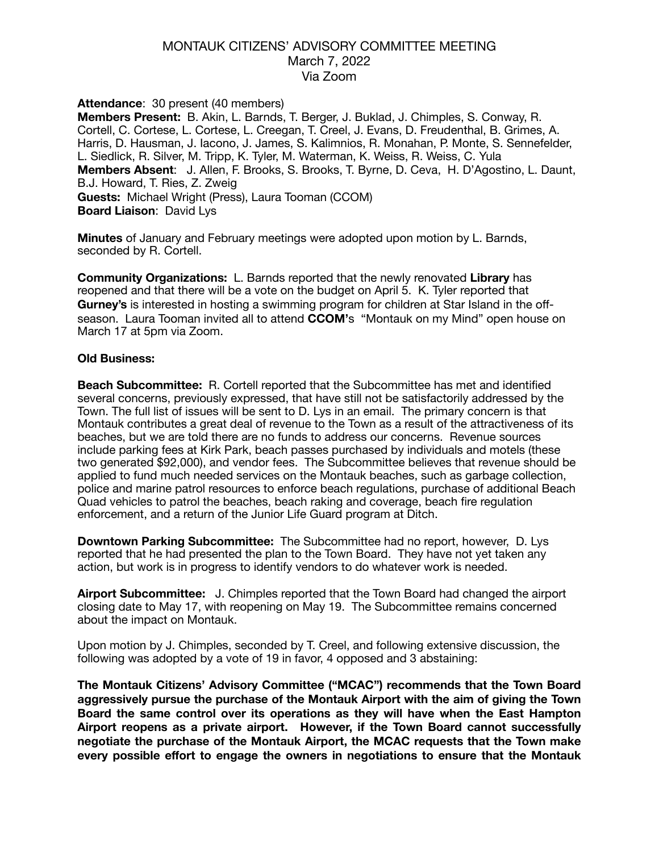## MONTAUK CITIZENS' ADVISORY COMMITTEE MEETING March 7, 2022 Via Zoom

**Attendance**: 30 present (40 members)

**Members Present:** B. Akin, L. Barnds, T. Berger, J. Buklad, J. Chimples, S. Conway, R. Cortell, C. Cortese, L. Cortese, L. Creegan, T. Creel, J. Evans, D. Freudenthal, B. Grimes, A. Harris, D. Hausman, J. Iacono, J. James, S. Kalimnios, R. Monahan, P. Monte, S. Sennefelder, L. Siedlick, R. Silver, M. Tripp, K. Tyler, M. Waterman, K. Weiss, R. Weiss, C. Yula **Members Absent**: J. Allen, F. Brooks, S. Brooks, T. Byrne, D. Ceva, H. D'Agostino, L. Daunt, B.J. Howard, T. Ries, Z. Zweig **Guests:** Michael Wright (Press), Laura Tooman (CCOM) **Board Liaison**: David Lys

**Minutes** of January and February meetings were adopted upon motion by L. Barnds, seconded by R. Cortell.

**Community Organizations:** L. Barnds reported that the newly renovated **Library** has reopened and that there will be a vote on the budget on April 5. K. Tyler reported that **Gurney's** is interested in hosting a swimming program for children at Star Island in the offseason. Laura Tooman invited all to attend **CCOM'**s "Montauk on my Mind" open house on March 17 at 5pm via Zoom.

## **Old Business:**

**Beach Subcommittee:** R. Cortell reported that the Subcommittee has met and identified several concerns, previously expressed, that have still not be satisfactorily addressed by the Town. The full list of issues will be sent to D. Lys in an email. The primary concern is that Montauk contributes a great deal of revenue to the Town as a result of the attractiveness of its beaches, but we are told there are no funds to address our concerns. Revenue sources include parking fees at Kirk Park, beach passes purchased by individuals and motels (these two generated \$92,000), and vendor fees. The Subcommittee believes that revenue should be applied to fund much needed services on the Montauk beaches, such as garbage collection, police and marine patrol resources to enforce beach regulations, purchase of additional Beach Quad vehicles to patrol the beaches, beach raking and coverage, beach fire regulation enforcement, and a return of the Junior Life Guard program at Ditch.

**Downtown Parking Subcommittee:** The Subcommittee had no report, however, D. Lys reported that he had presented the plan to the Town Board. They have not yet taken any action, but work is in progress to identify vendors to do whatever work is needed.

**Airport Subcommittee:** J. Chimples reported that the Town Board had changed the airport closing date to May 17, with reopening on May 19. The Subcommittee remains concerned about the impact on Montauk.

Upon motion by J. Chimples, seconded by T. Creel, and following extensive discussion, the following was adopted by a vote of 19 in favor, 4 opposed and 3 abstaining:

**The Montauk Citizens' Advisory Committee ("MCAC") recommends that the Town Board aggressively pursue the purchase of the Montauk Airport with the aim of giving the Town Board the same control over its operations as they will have when the East Hampton Airport reopens as a private airport. However, if the Town Board cannot successfully negotiate the purchase of the Montauk Airport, the MCAC requests that the Town make every possible effort to engage the owners in negotiations to ensure that the Montauk**